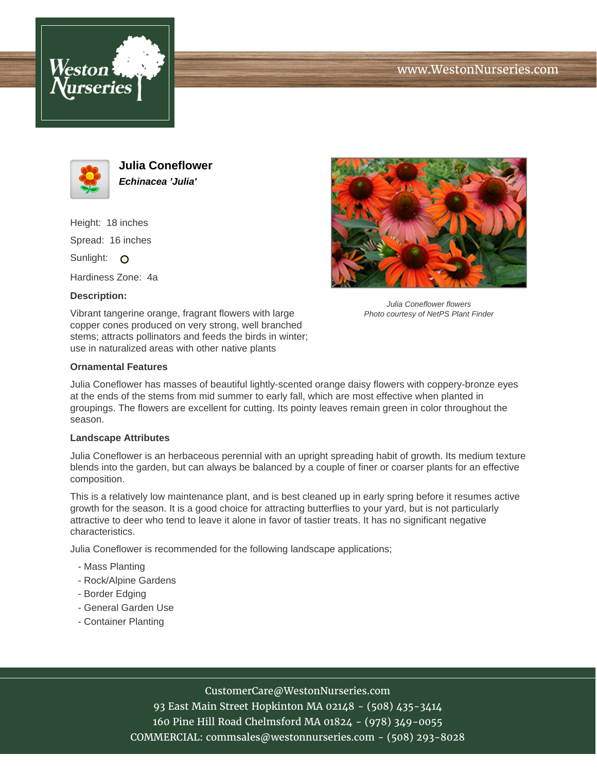



**Julia Coneflower Echinacea 'Julia'**

Height: 18 inches Spread: 16 inches Sunlight: O

Hardiness Zone: 4a

## **Description:**

Vibrant tangerine orange, fragrant flowers with large copper cones produced on very strong, well branched stems; attracts pollinators and feeds the birds in winter; use in naturalized areas with other native plants

#### **Ornamental Features**

Julia Coneflower flowers Photo courtesy of NetPS Plant Finder

Julia Coneflower has masses of beautiful lightly-scented orange daisy flowers with coppery-bronze eyes at the ends of the stems from mid summer to early fall, which are most effective when planted in groupings. The flowers are excellent for cutting. Its pointy leaves remain green in color throughout the season.

#### **Landscape Attributes**

Julia Coneflower is an herbaceous perennial with an upright spreading habit of growth. Its medium texture blends into the garden, but can always be balanced by a couple of finer or coarser plants for an effective composition.

This is a relatively low maintenance plant, and is best cleaned up in early spring before it resumes active growth for the season. It is a good choice for attracting butterflies to your yard, but is not particularly attractive to deer who tend to leave it alone in favor of tastier treats. It has no significant negative characteristics.

Julia Coneflower is recommended for the following landscape applications;

- Mass Planting
- Rock/Alpine Gardens
- Border Edging
- General Garden Use
- Container Planting

## CustomerCare@WestonNurseries.com

93 East Main Street Hopkinton MA 02148 - (508) 435-3414 160 Pine Hill Road Chelmsford MA 01824 - (978) 349-0055 COMMERCIAL: commsales@westonnurseries.com - (508) 293-8028